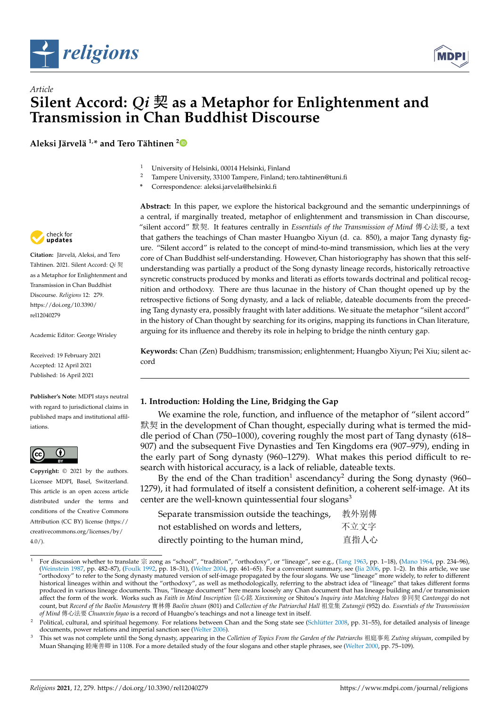



**Aleksi Järvelä 1,\* and Tero Tähtinen <sup>2</sup>**

- <sup>1</sup> University of Helsinki, 00014 Helsinki, Finland
- <sup>2</sup> Tampere University, 33100 Tampere, Finland; tero.tahtinen@tuni.fi
- **\*** Correspondence: aleksi.jarvela@helsinki.fi



**Keywords:** Chan (Zen) Buddhism; transmission; enlightenment; Huangbo Xiyun; Pei Xiu; silent accord

# **1. Introduction: Holding the Line, Bridging the Gap**

We examine the role, function, and influence of the metaphor of "silent accord" 默契 in the development of Chan thought, especially during what is termed the middle period of Chan (750–1000), covering roughly the most part of Tang dynasty (618– 907) and the subsequent Five Dynasties and Ten Kingdoms era (907–979), ending in the early part of Song dynasty (960–1279). What makes this period difficult to research with historical accuracy, is a lack of reliable, dateable texts.

By the end of the Chan tradition<sup>1</sup> ascendancy<sup>2</sup> during the Song dynasty (960– 1279), it had formulated of itself a consistent definition, a coherent self-image. At its center are the well-known quintessential four slogans<sup>3</sup>

| Separate transmission outside the teachings, | 教外别傳 |
|----------------------------------------------|------|
| not established on words and letters,        | 不立文字 |
| directly pointing to the human mind,         | 直指人心 |

<sup>1</sup> For discussion whether to translate 宗 zong as "school", "tradition", "orthodoxy", or "lineage", see e.g., ([Tang](#page-20-0) [1963](#page-20-0), pp. 1–18), [\(Mano](#page-19-0) [1964,](#page-19-0) pp. 234–96), ([Weinstein](#page-20-1) [1987](#page-20-1), pp. 482–87), ([Foulk](#page-19-1) [1992,](#page-19-1) pp. 18–31), [\(Welter](#page-20-2) [2004](#page-20-2), pp. 461–65). For a convenient summary, see [\(Jia](#page-19-2) [2006](#page-19-2), pp. 1–2). In this article, we use "orthodoxy" to refer to the Song dynasty matured version of self-image propagated by the four slogans. We use "lineage" more widely, to refer to different historical lineages within and without the "orthodoxy", as well as methodologically, referring to the abstract idea of "lineage" that takes different forms produced in various lineage documents. Thus, "lineage document" here means loosely any Chan document that has lineage building and/or transmission affect the form of the work. Works such as *Faith in Mind Inscription* 信心銘 *Xinxinming* or Shitou's *Inquiry into Matching Halves* 參同契 *Cantongqi* do not count, but *Record of the Baolin Monastery* 寶林傳 *Baolin zhuan* (801) and *Collection of the Patriarchal Hall* 祖堂集 *Zutangji* (952) do. *Essentials of the Transmission of Mind* 傳心法要 *Chuanxin fayao* is a record of Huangbo's teachings and not a lineage text in itself.



**Citation:** Järvelä, Aleksi, and Tero Tähtinen. 2021. Silent Accord: *Qi* 契 as a Metaphor for Enlightenment and Transmission in Chan Buddhist Discourse. *Religions* 12: 279. [https://doi.org/10.3390/](https://doi.org/10.3390/rel12040279) [rel12040279](https://doi.org/10.3390/rel12040279)

Academic Editor: George Wrisley

Received: 19 February 2021 Accepted: 12 April 2021 Published: 16 April 2021

**Publisher's Note:** MDPI stays neutral with regard to jurisdictional claims in published maps and institutional affil[iations.](https://creativecommons.org/)



**Copyright:** © 2021 by the authors. Licensee MDPI, Basel, Switzerland. This article is an open access article distributed under the terms and conditions of the Creative Commons Attribution (CC BY) license (https:// [creativecommons.org/licenses/by/](https://creativecommons.org/licenses/by/4.0/)  $4.0/$ ).



Political, cultural, and spiritual hegemony. For relations between Chan and the Song state see ([Schlütter](#page-20-3) [2008,](#page-20-3) pp. 31-55), for detailed analysis of lineage documents, power relations and imperial sanction see [\(Welter](#page-20-4) [2006\)](#page-20-4).

<sup>3</sup> This set was not complete until the Song dynasty, appearing in the *Colletion of Topics From the Garden of the Patriarchs* 祖庭事苑 *Zuting shiyuan*, compiled by Muan Shanqing 睦庵善卿 in 1108. For a more detailed study of the four slogans and other staple phrases, see ([Welter](#page-20-5) [2000](#page-20-5), pp. 75–109).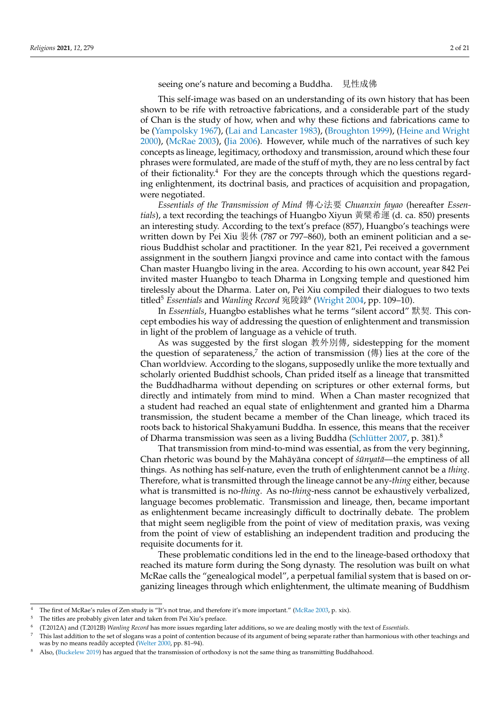seeing one's nature and becoming a Buddha. 見性成佛

This self-image was based on an understanding of its own history that has been shown to be rife with retroactive fabrications, and a considerable part of the study of Chan is the study of how, when and why these fictions and fabrications came to be [\(Yampolsky](#page-20-6) [1967\)](#page-20-6), ([Lai and Lancaster](#page-19-3) [1983](#page-19-3)), [\(Broughton](#page-19-4) [1999\)](#page-19-4), ([Heine and Wright](#page-19-5) [2000](#page-19-5)), [\(McRae](#page-20-7) [2003](#page-20-7)), [\(Jia](#page-19-2) [2006](#page-19-2)). However, while much of the narratives of such key concepts as lineage, legitimacy, orthodoxy and transmission, around which these four phrases were formulated, are made of the stuff of myth, they are no less central by fact of their fictionality.<sup>4</sup> For they are the concepts through which the questions regarding enlightenment, its doctrinal basis, and practices of acquisition and propagation, were negotiated.

*Essentials of the Transmission of Mind* 傳心法要 *Chuanxin fayao* (hereafter *Essentials*), a text recording the teachings of Huangbo Xiyun 黃檗希運 (d. ca. 850) presents an interesting study. According to the text's preface (857), Huangbo's teachings were written down by Pei Xiu 裴休 (787 or 797–860), both an eminent politician and a serious Buddhist scholar and practitioner. In the year 821, Pei received a government assignment in the southern Jiangxi province and came into contact with the famous Chan master Huangbo living in the area. According to his own account, year 842 Pei invited master Huangbo to teach Dharma in Longxing temple and questioned him tirelessly about the Dharma. Later on, Pei Xiu compiled their dialogues to two texts titled<sup>5</sup> *Essentials* and *Wanling Record* 宛陵錄<sup>6</sup> [\(Wright](#page-20-8) [2004](#page-20-8), pp. 109–10).

In *Essentials*, Huangbo establishes what he terms "silent accord" 默契. This concept embodies his way of addressing the question of enlightenment and transmission in light of the problem of language as a vehicle of truth.

As was suggested by the first slogan 教外別傳, sidestepping for the moment the question of separateness,<sup>7</sup> the action of transmission (傳) lies at the core of the Chan worldview. According to the slogans, supposedly unlike the more textually and scholarly oriented Buddhist schools, Chan prided itself as a lineage that transmitted the Buddhadharma without depending on scriptures or other external forms, but directly and intimately from mind to mind. When a Chan master recognized that a student had reached an equal state of enlightenment and granted him a Dharma transmission, the student became a member of the Chan lineage, which traced its roots back to historical Shakyamuni Buddha. In essence, this means that the receiver of Dharma transmission was seen as a living Buddha [\(Schlütter](#page-20-9) [2007,](#page-20-9) p. 381).<sup>8</sup>

That transmission from mind-to-mind was essential, as from the very beginning, Chan rhetoric was bound by the Mahāyāna concept of  $\sin \theta$  *anala*—the emptiness of all things. As nothing has self-nature, even the truth of enlightenment cannot be a *thing*. Therefore, what is transmitted through the lineage cannot be any-*thing* either, because what is transmitted is no-*thing*. As no-*thing*-ness cannot be exhaustively verbalized, language becomes problematic. Transmission and lineage, then, became important as enlightenment became increasingly difficult to doctrinally debate. The problem that might seem negligible from the point of view of meditation praxis, was vexing from the point of view of establishing an independent tradition and producing the requisite documents for it.

These problematic conditions led in the end to the lineage-based orthodoxy that reached its mature form during the Song dynasty. The resolution was built on what McRae calls the "genealogical model", a perpetual familial system that is based on organizing lineages through which enlightenment, the ultimate meaning of Buddhism

The first of McRae's rules of Zen study is "It's not true, and therefore it's more important." [\(McRae](#page-20-7) [2003](#page-20-7), p. xix).

The titles are probably given later and taken from Pei Xiu's preface.

<sup>6</sup> (T.2012A) and (T.2012B) *Wanling Record* has more issues regarding later additions, so we are dealing mostly with the text of *Essentials*.

<sup>7</sup> This last addition to the set of slogans was a point of contention because of its argument of being separate rather than harmonious with other teachings and was by no means readily accepted ([Welter](#page-20-5) [2000](#page-20-5), pp. 81-94).

Also, ([Buckelew](#page-19-6) [2019\)](#page-19-6) has argued that the transmission of orthodoxy is not the same thing as transmitting Buddhahood.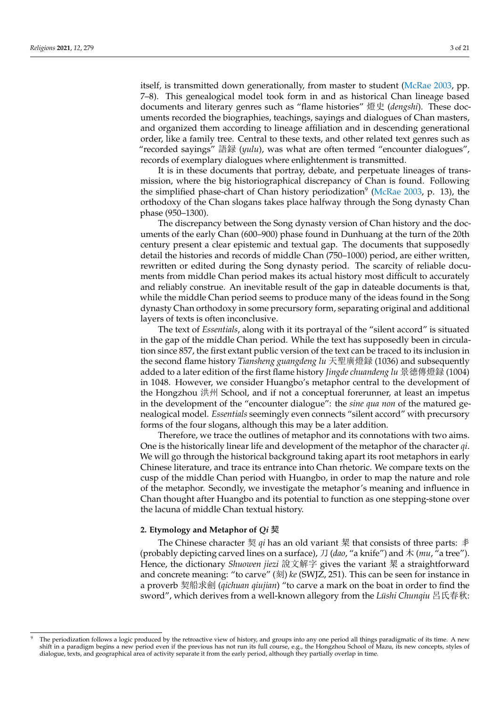itself, is transmitted down generationally, from master to student ([McRae](#page-20-7) [2003,](#page-20-7) pp. 7–8). This genealogical model took form in and as historical Chan lineage based documents and literary genres such as "flame histories" 燈史 (*dengshi*). These documents recorded the biographies, teachings, sayings and dialogues of Chan masters, and organized them according to lineage affiliation and in descending generational order, like a family tree. Central to these texts, and other related text genres such as "recorded sayings" 語録 (*yulu*), was what are often termed "encounter dialogues", records of exemplary dialogues where enlightenment is transmitted.

It is in these documents that portray, debate, and perpetuate lineages of transmission, where the big historiographical discrepancy of Chan is found. Following the simplified phase-chart of Chan history periodization<sup>9</sup> ([McRae](#page-20-7) [2003](#page-20-7), p. 13), the orthodoxy of the Chan slogans takes place halfway through the Song dynasty Chan phase (950–1300).

The discrepancy between the Song dynasty version of Chan history and the documents of the early Chan (600–900) phase found in Dunhuang at the turn of the 20th century present a clear epistemic and textual gap. The documents that supposedly detail the histories and records of middle Chan (750–1000) period, are either written, rewritten or edited during the Song dynasty period. The scarcity of reliable documents from middle Chan period makes its actual history most difficult to accurately and reliably construe. An inevitable result of the gap in dateable documents is that, while the middle Chan period seems to produce many of the ideas found in the Song dynasty Chan orthodoxy in some precursory form, separating original and additional layers of texts is often inconclusive.

The text of *Essentials*, along with it its portrayal of the "silent accord" is situated in the gap of the middle Chan period. While the text has supposedly been in circulation since 857, the first extant public version of the text can be traced to its inclusion in the second flame history *Tiansheng guangdeng lu* 天聖廣燈録 (1036) and subsequently added to a later edition of the first flame history *Jingde chuandeng lu* 景徳傳燈録 (1004) in 1048. However, we consider Huangbo's metaphor central to the development of the Hongzhou 洪州 School, and if not a conceptual forerunner, at least an impetus in the development of the "encounter dialogue": the *sine qua non* of the matured genealogical model. *Essentials* seemingly even connects "silent accord" with precursory forms of the four slogans, although this may be a later addition.

Therefore, we trace the outlines of metaphor and its connotations with two aims. One is the historically linear life and development of the metaphor of the character *qi*. We will go through the historical background taking apart its root metaphors in early Chinese literature, and trace its entrance into Chan rhetoric. We compare texts on the cusp of the middle Chan period with Huangbo, in order to map the nature and role of the metaphor. Secondly, we investigate the metaphor's meaning and influence in Chan thought after Huangbo and its potential to function as one stepping-stone over the lacuna of middle Chan textual history.

#### **2. Etymology and Metaphor of** *Qi* 契

The Chinese character 契 qi has an old variant 栔 that consists of three parts: 丯 (probably depicting carved lines on a surface), 刀 (*dao*, "a knife") and 木 (*mu*, "a tree"). Hence, the dictionary *Shuowen jiezi* 說文解字 gives the variant 栔 a straightforward and concrete meaning: "to carve" (刻) *ke* (SWJZ, 251). This can be seen for instance in a proverb 契船求劍 (*qichuan qiujian*) "to carve a mark on the boat in order to find the sword", which derives from a well-known allegory from the *Lüshi Chunqiu* 呂氏春秋:

The periodization follows a logic produced by the retroactive view of history, and groups into any one period all things paradigmatic of its time. A new shift in a paradigm begins a new period even if the previous has not run its full course, e.g., the Hongzhou School of Mazu, its new concepts, styles of dialogue, texts, and geographical area of activity separate it from the early period, although they partially overlap in time.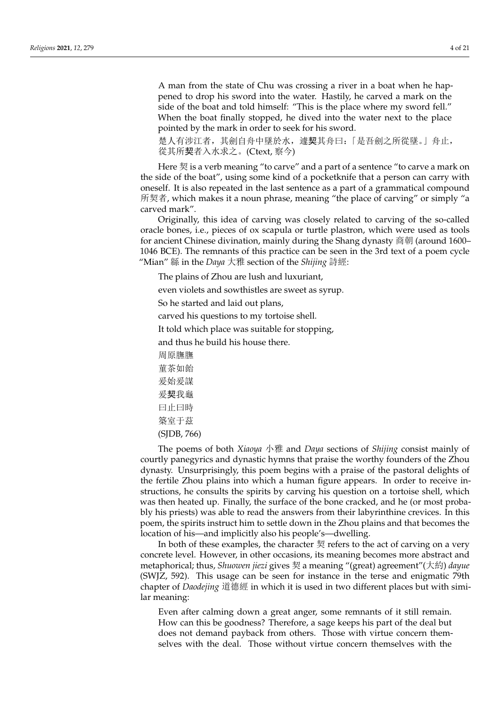A man from the state of Chu was crossing a river in a boat when he happened to drop his sword into the water. Hastily, he carved a mark on the side of the boat and told himself: "This is the place where my sword fell." When the boat finally stopped, he dived into the water next to the place pointed by the mark in order to seek for his sword.

楚人有涉江者,其劍自舟中墜於水,遽契其舟曰:「是吾劍之所從墜。」舟止, 從其所契者入水求之。(Ctext, 察今)

Here 契 is a verb meaning "to carve" and a part of a sentence "to carve a mark on the side of the boat", using some kind of a pocketknife that a person can carry with oneself. It is also repeated in the last sentence as a part of a grammatical compound 所契者, which makes it a noun phrase, meaning "the place of carving" or simply "a carved mark".

Originally, this idea of carving was closely related to carving of the so-called oracle bones, i.e., pieces of ox scapula or turtle plastron, which were used as tools for ancient Chinese divination, mainly during the Shang dynasty 商朝 (around 1600– 1046 BCE). The remnants of this practice can be seen in the 3rd text of a poem cycle "Mian" 緜 in the *Daya* 大雅 section of the *Shijing* 詩經:

The plains of Zhou are lush and luxuriant,

even violets and sowthistles are sweet as syrup.

So he started and laid out plans,

carved his questions to my tortoise shell.

It told which place was suitable for stopping,

and thus he build his house there.

周原膴膴 菫茶如飴 爰始爰謀 爰契我龜 曰止曰時

築室于茲

(SJDB, 766)

The poems of both *Xiaoya* 小雅 and *Daya* sections of *Shijing* consist mainly of courtly panegyrics and dynastic hymns that praise the worthy founders of the Zhou dynasty. Unsurprisingly, this poem begins with a praise of the pastoral delights of the fertile Zhou plains into which a human figure appears. In order to receive instructions, he consults the spirits by carving his question on a tortoise shell, which was then heated up. Finally, the surface of the bone cracked, and he (or most probably his priests) was able to read the answers from their labyrinthine crevices. In this poem, the spirits instruct him to settle down in the Zhou plains and that becomes the location of his—and implicitly also his people's—dwelling.

In both of these examples, the character  $\mathbb{R}$  refers to the act of carving on a very concrete level. However, in other occasions, its meaning becomes more abstract and metaphorical; thus, *Shuowen jiezi* gives 契 a meaning "(great) agreement"(大約) *dayue* (SWJZ, 592). This usage can be seen for instance in the terse and enigmatic 79th chapter of *Daodejing* 道德經 in which it is used in two different places but with similar meaning:

Even after calming down a great anger, some remnants of it still remain. How can this be goodness? Therefore, a sage keeps his part of the deal but does not demand payback from others. Those with virtue concern themselves with the deal. Those without virtue concern themselves with the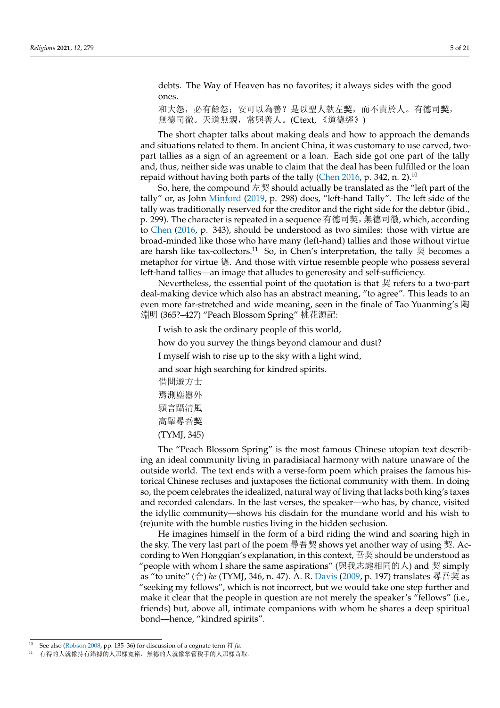debts. The Way of Heaven has no favorites; it always sides with the good ones.

和大怨,必有餘怨; 安可以為善?是以聖人執左契,而不責於人。有德司契, 無德司徹。天道無親,常與善人。(Ctext, 《道德經》)

The short chapter talks about making deals and how to approach the demands and situations related to them. In ancient China, it was customary to use carved, twopart tallies as a sign of an agreement or a loan. Each side got one part of the tally and, thus, neither side was unable to claim that the deal has been fulfilled or the loan repaid without having both parts of the tally ([Chen](#page-19-7) [2016](#page-19-7), p. 342, n. 2).<sup>10</sup>

So, here, the compound 左契 should actually be translated as the "left part of the tally" or, as John [Minford](#page-20-10) [\(2019](#page-20-10), p. 298) does, "left-hand Tally". The left side of the tally was traditionally reserved for the creditor and the right side for the debtor (ibid., p. 299). The character is repeated in a sequence 有德司契,無德司徹, which, according to [Chen](#page-19-7) ([2016,](#page-19-7) p. 343), should be understood as two similes: those with virtue are broad-minded like those who have many (left-hand) tallies and those without virtue are harsh like tax-collectors.<sup>11</sup> So, in Chen's interpretation, the tally 契 becomes a metaphor for virtue 德. And those with virtue resemble people who possess several left-hand tallies—an image that alludes to generosity and self-sufficiency.

Nevertheless, the essential point of the quotation is that 契 refers to a two-part deal-making device which also has an abstract meaning, "to agree". This leads to an even more far-stretched and wide meaning, seen in the finale of Tao Yuanming's 陶 淵明 (365?–427) "Peach Blossom Spring" 桃花源記:

I wish to ask the ordinary people of this world,

how do you survey the things beyond clamour and dust?

I myself wish to rise up to the sky with a light wind,

and soar high searching for kindred spirits.

借問遊方士 焉測塵囂外 願言躡清風 高舉尋吾契 (TYMJ, 345)

The "Peach Blossom Spring" is the most famous Chinese utopian text describing an ideal community living in paradisiacal harmony with nature unaware of the outside world. The text ends with a verse-form poem which praises the famous historical Chinese recluses and juxtaposes the fictional community with them. In doing so, the poem celebrates the idealized, natural way of living that lacks both king's taxes and recorded calendars. In the last verses, the speaker—who has, by chance, visited the idyllic community—shows his disdain for the mundane world and his wish to (re)unite with the humble rustics living in the hidden seclusion.

He imagines himself in the form of a bird riding the wind and soaring high in the sky. The very last part of the poem 尋吾契 shows yet another way of using 契. According to Wen Hongqian's explanation, in this context, 吾契 should be understood as "people with whom I share the same aspirations" (與我志趣相同的人) and 契 simply as "to unite" (合) *he* (TYMJ, 346, n. 47). A. R. [Davis](#page-19-8) ([2009,](#page-19-8) p. 197) translates 尋吾契 as "seeking my fellows", which is not incorrect, but we would take one step further and make it clear that the people in question are not merely the speaker's "fellows" (i.e., friends) but, above all, intimate companions with whom he shares a deep spiritual bond—hence, "kindred spirits".

<sup>10</sup> See also ([Robson](#page-20-11) [2008,](#page-20-11) pp. 135–36) for discussion of a cognate term 符 *fu*.

有得的人就像持有錯據的人那樣寬裕,無德的人就像掌管稅手的人那樣苛取.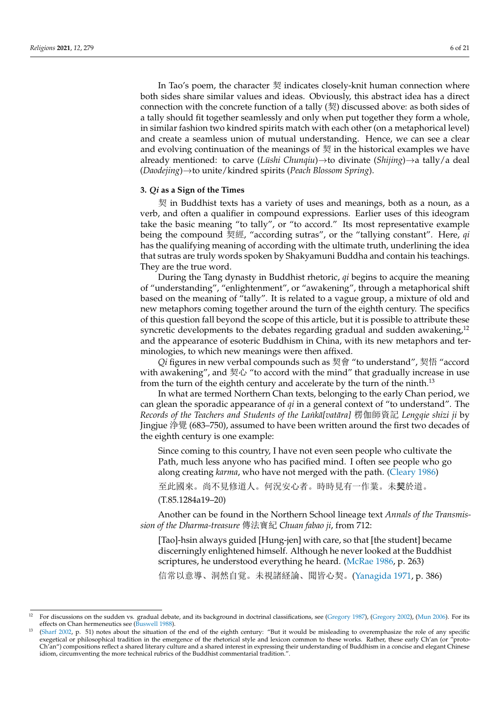In Tao's poem, the character 契 indicates closely-knit human connection where both sides share similar values and ideas. Obviously, this abstract idea has a direct connection with the concrete function of a tally  $(\frac{1}{2})$  discussed above: as both sides of a tally should fit together seamlessly and only when put together they form a whole, in similar fashion two kindred spirits match with each other (on a metaphorical level) and create a seamless union of mutual understanding. Hence, we can see a clear and evolving continuation of the meanings of 契 in the historical examples we have already mentioned: to carve (*Lüshi Chunqiu*)*→*to divinate (*Shijing*)*→*a tally/a deal (*Daodejing*)*→*to unite/kindred spirits (*Peach Blossom Spring*).

# **3.** *Qi* **as a Sign of the Times**

契 in Buddhist texts has a variety of uses and meanings, both as a noun, as a verb, and often a qualifier in compound expressions. Earlier uses of this ideogram take the basic meaning "to tally", or "to accord." Its most representative example being the compound 契經, "according sutras", or the "tallying constant". Here, *qi* has the qualifying meaning of according with the ultimate truth, underlining the idea that sutras are truly words spoken by Shakyamuni Buddha and contain his teachings. They are the true word.

During the Tang dynasty in Buddhist rhetoric, *qi* begins to acquire the meaning of "understanding", "enlightenment", or "awakening", through a metaphorical shift based on the meaning of "tally". It is related to a vague group, a mixture of old and new metaphors coming together around the turn of the eighth century. The specifics of this question fall beyond the scope of this article, but it is possible to attribute these syncretic developments to the debates regarding gradual and sudden awakening,<sup>12</sup> and the appearance of esoteric Buddhism in China, with its new metaphors and terminologies, to which new meanings were then affixed.

*Qi* figures in new verbal compounds such as 契會 "to understand", 契悟 "accord with awakening", and 契心 "to accord with the mind" that gradually increase in use from the turn of the eighth century and accelerate by the turn of the ninth.<sup>13</sup>

In what are termed Northern Chan texts, belonging to the early Chan period, we can glean the sporadic appearance of *qi* in a general context of "to understand". The *Records of the Teachers and Students of the Lank˙ a[vat ¯ ara] ¯* 楞伽師資記 *Lengqie shizi ji* by Jingjue 浄覺 (683–750), assumed to have been written around the first two decades of the eighth century is one example:

Since coming to this country, I have not even seen people who cultivate the Path, much less anyone who has pacified mind. I often see people who go along creating *karma*, who have not merged with the path. [\(Cleary](#page-19-9) [1986\)](#page-19-9)

至此國來。尚不見修道人。何況安心者。時時見有一作業。未契於道。

(T.85.1284a19–20)

Another can be found in the Northern School lineage text *Annals of the Transmission of the Dharma-treasure* 傳法寶紀 *Chuan fabao ji*, from 712:

[Tao]-hsin always guided [Hung-jen] with care, so that [the student] became discerningly enlightened himself. Although he never looked at the Buddhist scriptures, he understood everything he heard. ([McRae](#page-19-10) [1986](#page-19-10), p. 263)

信常以意導、洞然自覚。未視諸経論、聞皆心契。[\(Yanagida](#page-20-12) [1971,](#page-20-12) p. 386)

<sup>&</sup>lt;sup>12</sup> For discussions on the sudden vs. gradual debate, and its background in doctrinal classifications, see ([Gregory](#page-19-12) [1987\)](#page-19-11), (Gregory [2002](#page-19-12)), [\(Mun](#page-20-13) [2006\)](#page-20-13). For its effects on Chan hermeneutics see [\(Buswell](#page-19-13) [1988\)](#page-19-13).

<sup>13</sup> ([Sharf](#page-20-14) [2002](#page-20-14), p. 51) notes about the situation of the end of the eighth century: "But it would be misleading to overemphasize the role of any specific exegetical or philosophical tradition in the emergence of the rhetorical style and lexicon common to these works. Rather, these early Ch'an (or "proto-Ch'an") compositions reflect a shared literary culture and a shared interest in expressing their understanding of Buddhism in a concise and elegant Chinese idiom, circumventing the more technical rubrics of the Buddhist commentarial tradition.".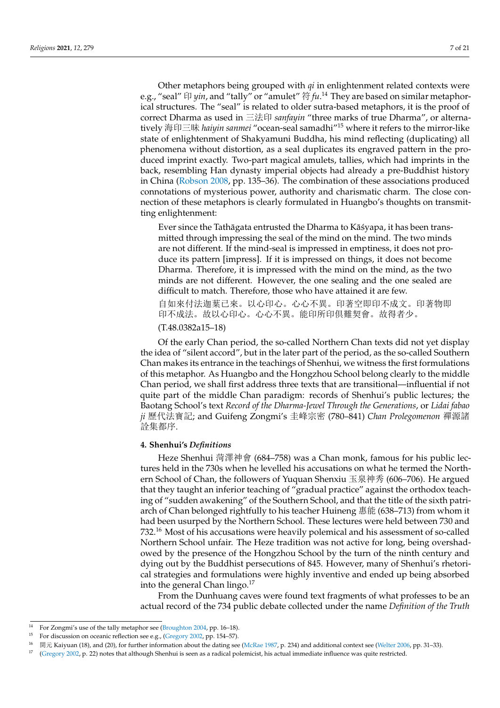Other metaphors being grouped with *qi* in enlightenment related contexts were e.g., "seal" 印 *yin*, and "tally" or "amulet" 符 *fu*. <sup>14</sup> They are based on similar metaphorical structures. The "seal" is related to older sutra-based metaphors, it is the proof of correct Dharma as used in 三法印 *sanfayin* "three marks of true Dharma", or alternatively 海印三昧 *haiyin sanmei* "ocean-seal samadhi"<sup>15</sup> where it refers to the mirror-like state of enlightenment of Shakyamuni Buddha, his mind reflecting (duplicating) all phenomena without distortion, as a seal duplicates its engraved pattern in the produced imprint exactly. Two-part magical amulets, tallies, which had imprints in the back, resembling Han dynasty imperial objects had already a pre-Buddhist history in China [\(Robson](#page-20-11) [2008,](#page-20-11) pp. 135–36). The combination of these associations produced connotations of mysterious power, authority and charismatic charm. The close connection of these metaphors is clearly formulated in Huangbo's thoughts on transmitting enlightenment:

Ever since the Tathāgata entrusted the Dharma to Kāśyapa, it has been transmitted through impressing the seal of the mind on the mind. The two minds are not different. If the mind-seal is impressed in emptiness, it does not produce its pattern [impress]. If it is impressed on things, it does not become Dharma. Therefore, it is impressed with the mind on the mind, as the two minds are not different. However, the one sealing and the one sealed are difficult to match. Therefore, those who have attained it are few. 自如來付法迦葉已來。以心印心。心心不異。印著空即印不成文。印著物即 印不成法。故以心印心。心心不異。能印所印倶難契會。故得者少。

(T.48.0382a15–18)

Of the early Chan period, the so-called Northern Chan texts did not yet display the idea of "silent accord", but in the later part of the period, as the so-called Southern Chan makes its entrance in the teachings of Shenhui, we witness the first formulations of this metaphor. As Huangbo and the Hongzhou School belong clearly to the middle Chan period, we shall first address three texts that are transitional—influential if not quite part of the middle Chan paradigm: records of Shenhui's public lectures; the Baotang School's text *Record of the Dharma-Jewel Through the Generations*, or *Lidai fabao ji* 歷代法寶記; and Guifeng Zongmi's 圭峰宗密 (780–841) *Chan Prolegomenon* 禪源諸 詮集都序.

## **4. Shenhui's** *Definitions*

Heze Shenhui 菏澤神會 (684–758) was a Chan monk, famous for his public lectures held in the 730s when he levelled his accusations on what he termed the Northern School of Chan, the followers of Yuquan Shenxiu 玉泉神秀 (606–706). He argued that they taught an inferior teaching of "gradual practice" against the orthodox teaching of "sudden awakening" of the Southern School, and that the title of the sixth patriarch of Chan belonged rightfully to his teacher Huineng 惠能 (638–713) from whom it had been usurped by the Northern School. These lectures were held between 730 and 732.<sup>16</sup> Most of his accusations were heavily polemical and his assessment of so-called Northern School unfair. The Heze tradition was not active for long, being overshadowed by the presence of the Hongzhou School by the turn of the ninth century and dying out by the Buddhist persecutions of 845. However, many of Shenhui's rhetorical strategies and formulations were highly inventive and ended up being absorbed into the general Chan lingo.<sup>17</sup>

From the Dunhuang caves were found text fragments of what professes to be an actual record of the 734 public debate collected under the name *Definition of the Truth*

<sup>14</sup> For Zongmi's use of the tally metaphor see [\(Broughton](#page-19-14) [2004,](#page-19-14) pp. 16–18).

<sup>15</sup> For discussion on oceanic reflection see e.g., ([Gregory](#page-19-12) [2002](#page-19-12), pp. 154–57).

<sup>&</sup>lt;sup>16</sup> 開元 Kaiyuan (18), and (20), for further information about the dating see ([McRae](#page-19-15) [1987](#page-19-15), p. 234) and additional context see ([Welter](#page-20-4) [2006](#page-20-4), pp. 31-33).

 $17$  ([Gregory](#page-19-12) [2002](#page-19-12), p. 22) notes that although Shenhui is seen as a radical polemicist, his actual immediate influence was quite restricted.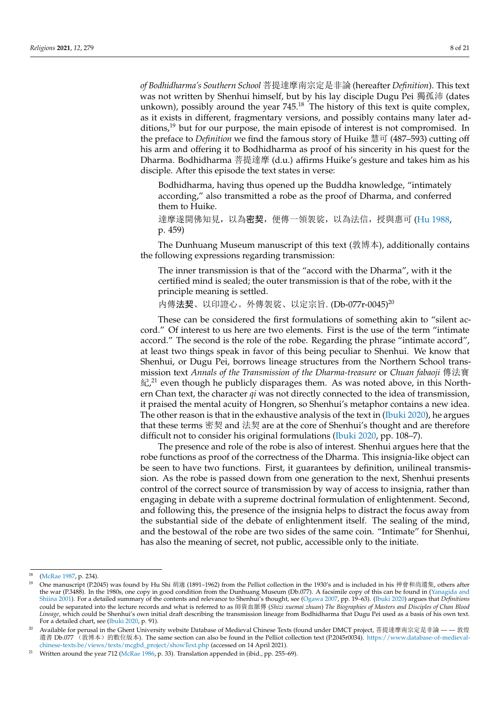*of Bodhidharma's Southern School* 菩提達摩南宗定是非論 (hereafter *Definition*). This text was not written by Shenhui himself, but by his lay disciple Dugu Pei 獨孤沛 (dates unkown), possibly around the year  $745<sup>18</sup>$  The history of this text is quite complex, as it exists in different, fragmentary versions, and possibly contains many later additions, $19$  but for our purpose, the main episode of interest is not compromised. In the preface to *Definition* we find the famous story of Huike 慧可 (487–593) cutting off his arm and offering it to Bodhidharma as proof of his sincerity in his quest for the Dharma. Bodhidharma 菩提達摩 (d.u.) affirms Huike's gesture and takes him as his disciple. After this episode the text states in verse:

Bodhidharma, having thus opened up the Buddha knowledge, "intimately according," also transmitted a robe as the proof of Dharma, and conferred them to Huike.

達摩遂開佛知見, 以為**密契**, 便傳一領袈裟, 以為法信, 授與惠可 ([Hu](#page-19-16) [1988](#page-19-16), p. 459)

The Dunhuang Museum manuscript of this text (敦博本), additionally contains the following expressions regarding transmission:

The inner transmission is that of the "accord with the Dharma", with it the certified mind is sealed; the outer transmission is that of the robe, with it the principle meaning is settled.

内傳法契、以印證心。外傳袈裟、以定宗旨. (Db-077r-0045)<sup>20</sup>

These can be considered the first formulations of something akin to "silent accord." Of interest to us here are two elements. First is the use of the term "intimate accord." The second is the role of the robe. Regarding the phrase "intimate accord", at least two things speak in favor of this being peculiar to Shenhui. We know that Shenhui, or Dugu Pei, borrows lineage structures from the Northern School transmission text *Annals of the Transmission of the Dharma-treasure* or *Chuan fabaoji* 傳法寶 紀,<sup>21</sup> even though he publicly disparages them. As was noted above, in this Northern Chan text, the character *qi* was not directly connected to the idea of transmission, it praised the mental acuity of Hongren, so Shenhui's metaphor contains a new idea. The other reason is that in the exhaustive analysis of the text in ([Ibuki](#page-19-17) [2020\)](#page-19-17), he argues that these terms 密契 and 法契 are at the core of Shenhui's thought and are therefore difficult not to consider his original formulations ([Ibuki](#page-19-17) [2020,](#page-19-17) pp. 108–7).

The presence and role of the robe is also of interest. Shenhui argues here that the robe functions as proof of the correctness of the Dharma. This insignia-like object can be seen to have two functions. First, it guarantees by definition, unilineal transmission. As the robe is passed down from one generation to the next, Shenhui presents control of the correct source of transmission by way of access to insignia, rather than engaging in debate with a supreme doctrinal formulation of enlightenment. Second, and following this, the presence of the insignia helps to distract the focus away from the substantial side of the debate of enlightenment itself. The sealing of the mind, and the bestowal of the robe are two sides of the same coin. "Intimate" for Shenhui, has also the meaning of secret, not public, accessible only to the initiate.

 $^{18}$  ([McRae](#page-19-15) [1987](#page-19-15), p. 234).

<sup>19</sup> One manuscript (P.2045) was found by Hu Shi 胡適 (1891–1962) from the Pelliot collection in the 1930's and is included in his 神會和尚遺集, others after the war (P.3488). In the 1980s, one copy in good condition from the Dunhuang Museum (Db.077). A facsimile copy of this can be found in ([Yanagida and](#page-20-15) [Shiina](#page-20-15) [2001](#page-20-15)). For a detailed summary of the contents and relevance to Shenhui's thought, see [\(Ogawa](#page-20-16) [2007](#page-20-16), pp. 19–63). [\(Ibuki](#page-19-17) [2020\)](#page-19-17) argues that *Definitions* could be separated into the lecture records and what is referred to as 師資血脈傳 (*Shizi xuemai zhuan*) *The Biographies of Masters and Disciples of Chan Blood Lineage*, which could be Shenhui's own initial draft describing the transmission lineage from Bodhidharma that Dugu Pei used as a basis of his own text. For a detailed chart, see [\(Ibuki](#page-19-17) [2020,](#page-19-17) p. 91).

<sup>&</sup>lt;sup>20</sup> Available for perusal in the Ghent University website Database of Medieval Chinese Texts (found under DMCT project, 菩提達摩南宗定是非論 — — 敦煌 遺書 Db.077 (敦博本)的數位版本). The same section can also be found in the Pelliot collection text (P.2045r0034). [https://www.database-of-medieval](https://www.database-of-medieval-chinese-texts.be/views/texts/mcgbd_project/showText.php)[chinese-texts.be/views/texts/mcgbd\\_project/showText.php](https://www.database-of-medieval-chinese-texts.be/views/texts/mcgbd_project/showText.php) (accessed on 14 April 2021).

<sup>&</sup>lt;sup>21</sup> Written around the year 712 [\(McRae](#page-19-10) [1986,](#page-19-10) p. 33). Translation appended in (ibid., pp. 255–69).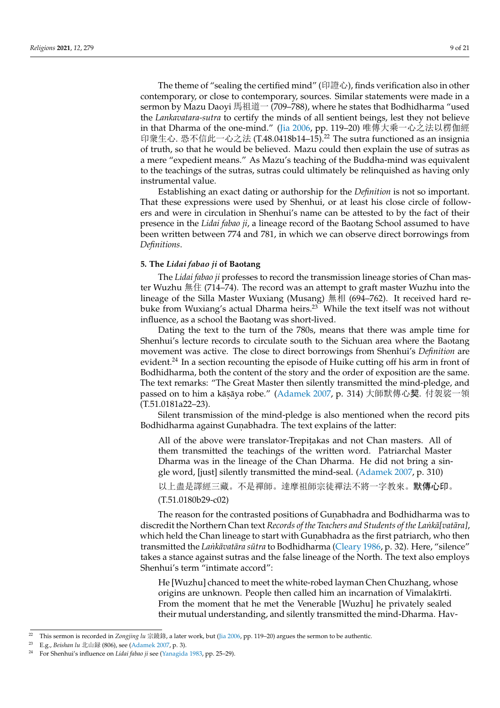The theme of "sealing the certified mind" (印證心), finds verification also in other contemporary, or close to contemporary, sources. Similar statements were made in a sermon by Mazu Daoyi 馬祖道一 (709–788), where he states that Bodhidharma "used the *Lankavatara-sutra* to certify the minds of all sentient beings, lest they not believe in that Dharma of the one-mind." ([Jia](#page-19-2) [2006,](#page-19-2) pp. 119–20) 唯傳大乘一心之法以楞伽經 印衆生心. 恐不信此一心之法 (T.48.0418b14–15).<sup>22</sup> The sutra functioned as an insignia of truth, so that he would be believed. Mazu could then explain the use of sutras as a mere "expedient means." As Mazu's teaching of the Buddha-mind was equivalent to the teachings of the sutras, sutras could ultimately be relinquished as having only instrumental value.

Establishing an exact dating or authorship for the *Definition* is not so important. That these expressions were used by Shenhui, or at least his close circle of followers and were in circulation in Shenhui's name can be attested to by the fact of their presence in the *Lidai fabao ji*, a lineage record of the Baotang School assumed to have been written between 774 and 781, in which we can observe direct borrowings from *Definitions*.

# **5. The** *Lidai fabao ji* **of Baotang**

The *Lidai fabao ji* professes to record the transmission lineage stories of Chan master Wuzhu 無住 (714–74). The record was an attempt to graft master Wuzhu into the lineage of the Silla Master Wuxiang (Musang) 無相 (694–762). It received hard rebuke from Wuxiang's actual Dharma heirs.<sup>23</sup> While the text itself was not without influence, as a school the Baotang was short-lived.

Dating the text to the turn of the 780s, means that there was ample time for Shenhui's lecture records to circulate south to the Sichuan area where the Baotang movement was active. The close to direct borrowings from Shenhui's *Definition* are evident.<sup>24</sup> In a section recounting the episode of Huike cutting off his arm in front of Bodhidharma, both the content of the story and the order of exposition are the same. The text remarks: "The Great Master then silently transmitted the mind-pledge, and passed on to him a kāṣāya robe." ([Adamek](#page-19-18) [2007](#page-19-18), p. 314) 大師默傳心契. 付袈裟一領 (T.51.0181a22–23).

Silent transmission of the mind-pledge is also mentioned when the record pits Bodhidharma against Gunabhadra. The text explains of the latter:

All of the above were translator-Trepitakas and not Chan masters. All of them transmitted the teachings of the written word. Patriarchal Master Dharma was in the lineage of the Chan Dharma. He did not bring a single word, [just] silently transmitted the mind-seal. [\(Adamek](#page-19-18) [2007](#page-19-18), p. 310)

以上盡是譯經三藏。不是禪師。達摩祖師宗徒禪法不將一字教來。默傳心印。 (T.51.0180b29-c02)

The reason for the contrasted positions of Gunabhadra and Bodhidharma was to discredit the Northern Chan text *Records of the Teachers and Students of the Lankā*[vat*āra*], which held the Chan lineage to start with Gunabhadra as the first patriarch, who then transmitted the *Lank˙ avat ¯ ara s ¯ utra ¯* to Bodhidharma ([Cleary](#page-19-9) [1986](#page-19-9), p. 32). Here, "silence" takes a stance against sutras and the false lineage of the North. The text also employs Shenhui's term "intimate accord":

He [Wuzhu] chanced to meet the white-robed layman Chen Chuzhang, whose origins are unknown. People then called him an incarnation of Vimalakīrti. From the moment that he met the Venerable [Wuzhu] he privately sealed their mutual understanding, and silently transmitted the mind-Dharma. Hav-

<sup>22</sup> This sermon is recorded in *Zongjing lu* 宗鏡錄, a later work, but ([Jia](#page-19-2) [2006](#page-19-2), pp. 119–20) argues the sermon to be authentic.

<sup>23</sup> E.g., *Beishan lu* 北山録 (806), see [\(Adamek](#page-19-18) [2007,](#page-19-18) p. 3).

<sup>24</sup> For Shenhui's influence on *Lidai fabao ji* see [\(Yanagida](#page-20-17) [1983,](#page-20-17) pp. 25–29).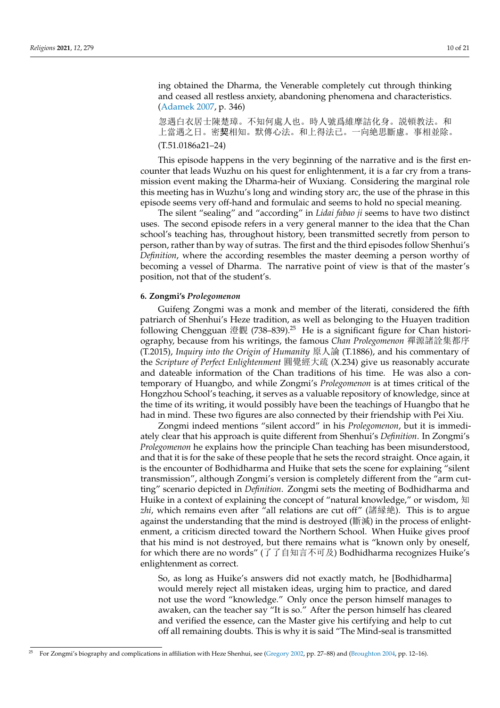ing obtained the Dharma, the Venerable completely cut through thinking and ceased all restless anxiety, abandoning phenomena and characteristics. ([Adamek](#page-19-18) [2007](#page-19-18), p. 346)

忽遇白衣居士陳楚璋。不知何處人也。時人號爲維摩詰化身。説頓教法。和 上當遇之日。密契相知。默傳心法。和上得法已。一向絶思斷慮。事相並除。 (T.51.0186a21–24)

This episode happens in the very beginning of the narrative and is the first encounter that leads Wuzhu on his quest for enlightenment, it is a far cry from a transmission event making the Dharma-heir of Wuxiang. Considering the marginal role this meeting has in Wuzhu's long and winding story arc, the use of the phrase in this episode seems very off-hand and formulaic and seems to hold no special meaning.

The silent "sealing" and "according" in *Lidai fabao ji* seems to have two distinct uses. The second episode refers in a very general manner to the idea that the Chan school's teaching has, throughout history, been transmitted secretly from person to person, rather than by way of sutras. The first and the third episodes follow Shenhui's *Definition*, where the according resembles the master deeming a person worthy of becoming a vessel of Dharma. The narrative point of view is that of the master's position, not that of the student's.

#### **6. Zongmi's** *Prolegomenon*

Guifeng Zongmi was a monk and member of the literati, considered the fifth patriarch of Shenhui's Heze tradition, as well as belonging to the Huayen tradition following Chengguan 澄觀 (738–839).<sup>25</sup> He is a significant figure for Chan historiography, because from his writings, the famous *Chan Prolegomenon* 禪源諸詮集都序 (T.2015), *Inquiry into the Origin of Humanity* 原人論 (T.1886), and his commentary of the *Scripture of Perfect Enlightenment* 圓覺經大疏 (X.234) give us reasonably accurate and dateable information of the Chan traditions of his time. He was also a contemporary of Huangbo, and while Zongmi's *Prolegomenon* is at times critical of the Hongzhou School's teaching, it serves as a valuable repository of knowledge, since at the time of its writing, it would possibly have been the teachings of Huangbo that he had in mind. These two figures are also connected by their friendship with Pei Xiu.

Zongmi indeed mentions "silent accord" in his *Prolegomenon*, but it is immediately clear that his approach is quite different from Shenhui's *Definition*. In Zongmi's *Prolegomenon* he explains how the principle Chan teaching has been misunderstood, and that it is for the sake of these people that he sets the record straight. Once again, it is the encounter of Bodhidharma and Huike that sets the scene for explaining "silent transmission", although Zongmi's version is completely different from the "arm cutting" scenario depicted in *Definition*. Zongmi sets the meeting of Bodhidharma and Huike in a context of explaining the concept of "natural knowledge," or wisdom, 知 *zhi*, which remains even after "all relations are cut off" (諸縁絶). This is to argue against the understanding that the mind is destroyed (斷滅) in the process of enlightenment, a criticism directed toward the Northern School. When Huike gives proof that his mind is not destroyed, but there remains what is "known only by oneself, for which there are no words" (了了自知言不可及) Bodhidharma recognizes Huike's enlightenment as correct.

So, as long as Huike's answers did not exactly match, he [Bodhidharma] would merely reject all mistaken ideas, urging him to practice, and dared not use the word "knowledge." Only once the person himself manages to awaken, can the teacher say "It is so." After the person himself has cleared and verified the essence, can the Master give his certifying and help to cut off all remaining doubts. This is why it is said "The Mind-seal is transmitted

<sup>25</sup> For Zongmi's biography and complications in affiliation with Heze Shenhui, see [\(Gregory](#page-19-12) [2002](#page-19-12), pp. 27–88) and [\(Broughton](#page-19-14) [2004](#page-19-14), pp. 12–16).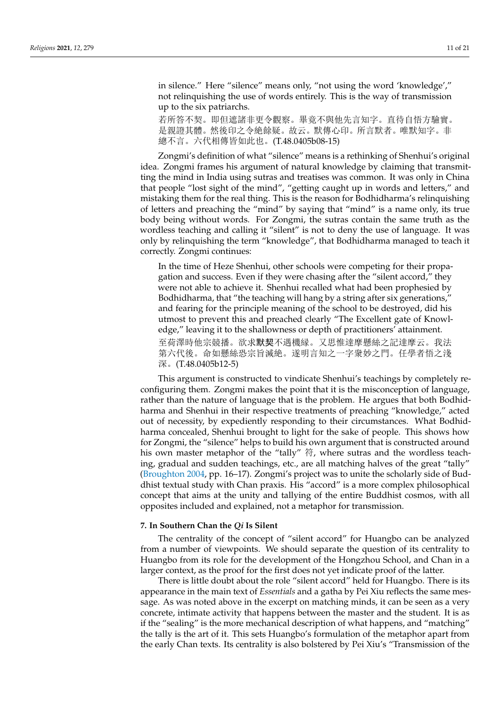in silence." Here "silence" means only, "not using the word 'knowledge'," not relinquishing the use of words entirely. This is the way of transmission up to the six patriarchs.

若所答不契。即但遮諸非更令觀察。畢竟不與他先言知字。直待自悟方驗實。 是親證其體。然後印之令絶餘疑。故云。默傳心印。所言默者。唯默知字。非 總不言。六代相傳皆如此也。(T.48.0405b08-15)

Zongmi's definition of what "silence" means is a rethinking of Shenhui's original idea. Zongmi frames his argument of natural knowledge by claiming that transmitting the mind in India using sutras and treatises was common. It was only in China that people "lost sight of the mind", "getting caught up in words and letters," and mistaking them for the real thing. This is the reason for Bodhidharma's relinquishing of letters and preaching the "mind" by saying that "mind" is a name only, its true body being without words. For Zongmi, the sutras contain the same truth as the wordless teaching and calling it "silent" is not to deny the use of language. It was only by relinquishing the term "knowledge", that Bodhidharma managed to teach it correctly. Zongmi continues:

In the time of Heze Shenhui, other schools were competing for their propagation and success. Even if they were chasing after the "silent accord," they were not able to achieve it. Shenhui recalled what had been prophesied by Bodhidharma, that "the teaching will hang by a string after six generations," and fearing for the principle meaning of the school to be destroyed, did his utmost to prevent this and preached clearly "The Excellent gate of Knowledge," leaving it to the shallowness or depth of practitioners' attainment. 至荷澤時他宗競播。欲求默契不遇機縁。又思惟達摩懸絲之記達摩云。我法 第六代後。命如懸絲恐宗旨滅絶。遂明言知之一字衆妙之門。任學者悟之淺 深。(T.48.0405b12-5)

This argument is constructed to vindicate Shenhui's teachings by completely reconfiguring them. Zongmi makes the point that it is the misconception of language, rather than the nature of language that is the problem. He argues that both Bodhidharma and Shenhui in their respective treatments of preaching "knowledge," acted out of necessity, by expediently responding to their circumstances. What Bodhidharma concealed, Shenhui brought to light for the sake of people. This shows how for Zongmi, the "silence" helps to build his own argument that is constructed around his own master metaphor of the "tally" 符, where sutras and the wordless teaching, gradual and sudden teachings, etc., are all matching halves of the great "tally" [\(Broughton](#page-19-14) [2004,](#page-19-14) pp. 16–17). Zongmi's project was to unite the scholarly side of Buddhist textual study with Chan praxis. His "accord" is a more complex philosophical concept that aims at the unity and tallying of the entire Buddhist cosmos, with all opposites included and explained, not a metaphor for transmission.

#### **7. In Southern Chan the** *Qi* **Is Silent**

The centrality of the concept of "silent accord" for Huangbo can be analyzed from a number of viewpoints. We should separate the question of its centrality to Huangbo from its role for the development of the Hongzhou School, and Chan in a larger context, as the proof for the first does not yet indicate proof of the latter.

There is little doubt about the role "silent accord" held for Huangbo. There is its appearance in the main text of *Essentials* and a gatha by Pei Xiu reflects the same message. As was noted above in the excerpt on matching minds, it can be seen as a very concrete, intimate activity that happens between the master and the student. It is as if the "sealing" is the more mechanical description of what happens, and "matching" the tally is the art of it. This sets Huangbo's formulation of the metaphor apart from the early Chan texts. Its centrality is also bolstered by Pei Xiu's "Transmission of the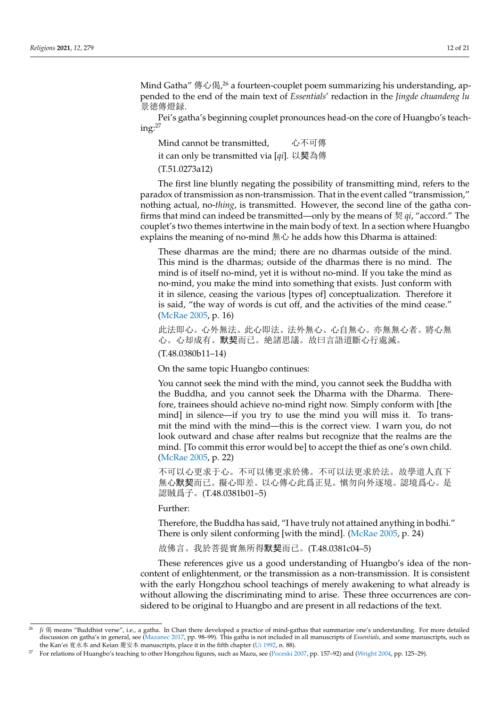Mind Gatha" 傳心偈, $^{26}$  a fourteen-couplet poem summarizing his understanding, appended to the end of the main text of *Essentials*' redaction in the *Jingde chuandeng lu* 景徳傳燈録.

Pei's gatha's beginning couplet pronounces head-on the core of Huangbo's teach $ine:^{27}$ 

Mind cannot be transmitted, 心不可傳 it can only be transmitted via [*qi*]. 以契為傳 (T.51.0273a12)

The first line bluntly negating the possibility of transmitting mind, refers to the paradox of transmission as non-transmission. That in the event called "transmission," nothing actual, no-*thing*, is transmitted. However, the second line of the gatha confirms that mind can indeed be transmitted—only by the means of 契 *qi*, "accord." The couplet's two themes intertwine in the main body of text. In a section where Huangbo explains the meaning of no-mind 無心 he adds how this Dharma is attained:

These dharmas are the mind; there are no dharmas outside of the mind. This mind is the dharmas; outside of the dharmas there is no mind. The mind is of itself no-mind, yet it is without no-mind. If you take the mind as no-mind, you make the mind into something that exists. Just conform with it in silence, ceasing the various [types of] conceptualization. Therefore it is said, "the way of words is cut off, and the activities of the mind cease." ([McRae](#page-20-18) [2005](#page-20-18), p. 16)

此法即心。心外無法。此心即法。法外無心。心自無心。亦無無心者。將心無 心。心却成有。默契而已。絶諸思議。故曰言語道斷心行處滅。

(T.48.0380b11–14)

On the same topic Huangbo continues:

You cannot seek the mind with the mind, you cannot seek the Buddha with the Buddha, and you cannot seek the Dharma with the Dharma. Therefore, trainees should achieve no-mind right now. Simply conform with [the mind] in silence—if you try to use the mind you will miss it. To transmit the mind with the mind—this is the correct view. I warn you, do not look outward and chase after realms but recognize that the realms are the mind. [To commit this error would be] to accept the thief as one's own child. ([McRae](#page-20-18) [2005](#page-20-18), p. 22)

不可以心更求于心。不可以佛更求於佛。不可以法更求於法。故學道人直下 無心默契而已。擬心即差。以心傳心此爲正見。愼勿向外逐境。認境爲心。是 認賊爲子。(T.48.0381b01–5)

Further:

Therefore, the Buddha has said, "I have truly not attained anything in bodhi." There is only silent conforming [with the mind]. ([McRae](#page-20-18) [2005](#page-20-18), p. 24)

故佛言。我於菩提實無所得默契而已。(T.48.0381c04–5)

These references give us a good understanding of Huangbo's idea of the noncontent of enlightenment, or the transmission as a non-transmission. It is consistent with the early Hongzhou school teachings of merely awakening to what already is without allowing the discriminating mind to arise. These three occurrences are considered to be original to Huangbo and are present in all redactions of the text.

<sup>26</sup> *Ji* 偈 means "Buddhist verse", i.e., a gatha. In Chan there developed a practice of mind-gathas that summarize one's understanding. For more detailed discussion on gatha's in general, see [\(Mazanec](#page-19-19) [2017](#page-19-19), pp. 98–99). This gatha is not included in all manuscripts of *Essentials*, and some manuscripts, such as the Kan'ei 寛永本 and Keian 慶安本 manuscripts, place it in the fifth chapter ([Ui](#page-20-19) [1992,](#page-20-19) n. 88).

<sup>&</sup>lt;sup>27</sup> For relations of Huangbo's teaching to other Hongzhou figures, such as Mazu, see [\(Poceski](#page-20-20) [2007](#page-20-20), pp. 157–92) and ([Wright](#page-20-8) [2004,](#page-20-8) pp. 125–29).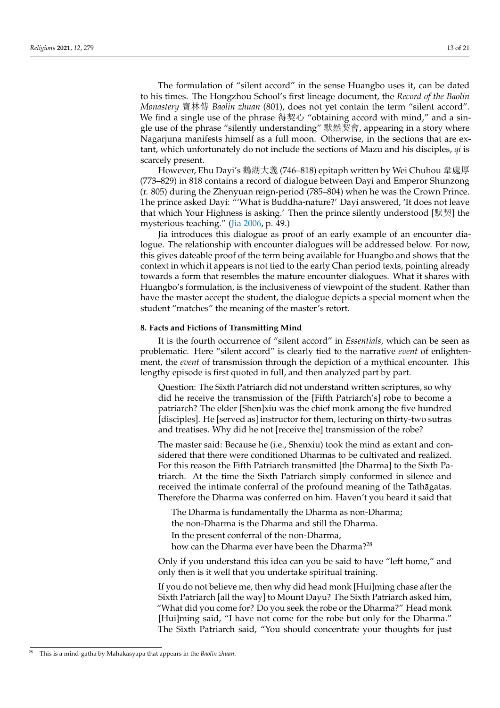The formulation of "silent accord" in the sense Huangbo uses it, can be dated to his times. The Hongzhou School's first lineage document, the *Record of the Baolin Monastery* 寶林傳 *Baolin zhuan* (801), does not yet contain the term "silent accord". We find a single use of the phrase 得契心 "obtaining accord with mind," and a single use of the phrase "silently understanding" 默然契會, appearing in a story where Nagarjuna manifests himself as a full moon. Otherwise, in the sections that are extant, which unfortunately do not include the sections of Mazu and his disciples, *qi* is scarcely present.

However, Ehu Dayi's 鵝湖大義 (746–818) epitaph written by Wei Chuhou 韋處厚 (773–829) in 818 contains a record of dialogue between Dayi and Emperor Shunzong (r. 805) during the Zhenyuan reign-period (785–804) when he was the Crown Prince. The prince asked Dayi: "'What is Buddha-nature?' Dayi answered, 'It does not leave that which Your Highness is asking.' Then the prince silently understood [默契] the mysterious teaching." ([Jia](#page-19-2) [2006](#page-19-2), p. 49.)

Jia introduces this dialogue as proof of an early example of an encounter dialogue. The relationship with encounter dialogues will be addressed below. For now, this gives dateable proof of the term being available for Huangbo and shows that the context in which it appears is not tied to the early Chan period texts, pointing already towards a form that resembles the mature encounter dialogues. What it shares with Huangbo's formulation, is the inclusiveness of viewpoint of the student. Rather than have the master accept the student, the dialogue depicts a special moment when the student "matches" the meaning of the master's retort.

# **8. Facts and Fictions of Transmitting Mind**

It is the fourth occurrence of "silent accord" in *Essentials*, which can be seen as problematic. Here "silent accord" is clearly tied to the narrative *event* of enlightenment, the *event* of transmission through the depiction of a mythical encounter. This lengthy episode is first quoted in full, and then analyzed part by part.

Question: The Sixth Patriarch did not understand written scriptures, so why did he receive the transmission of the [Fifth Patriarch's] robe to become a patriarch? The elder [Shen]xiu was the chief monk among the five hundred [disciples]. He [served as] instructor for them, lecturing on thirty-two sutras and treatises. Why did he not [receive the] transmission of the robe?

The master said: Because he (i.e., Shenxiu) took the mind as extant and considered that there were conditioned Dharmas to be cultivated and realized. For this reason the Fifth Patriarch transmitted [the Dharma] to the Sixth Patriarch. At the time the Sixth Patriarch simply conformed in silence and received the intimate conferral of the profound meaning of the Tathagatas. Therefore the Dharma was conferred on him. Haven't you heard it said that

The Dharma is fundamentally the Dharma as non-Dharma; the non-Dharma is the Dharma and still the Dharma. In the present conferral of the non-Dharma, how can the Dharma ever have been the Dharma?<sup>28</sup>

Only if you understand this idea can you be said to have "left home," and only then is it well that you undertake spiritual training.

If you do not believe me, then why did head monk [Hui]ming chase after the Sixth Patriarch [all the way] to Mount Dayu? The Sixth Patriarch asked him, "What did you come for? Do you seek the robe or the Dharma?" Head monk [Hui]ming said, "I have not come for the robe but only for the Dharma." The Sixth Patriarch said, "You should concentrate your thoughts for just

<sup>28</sup> This is a mind-gatha by Mahakasyapa that appears in the *Baolin zhuan*.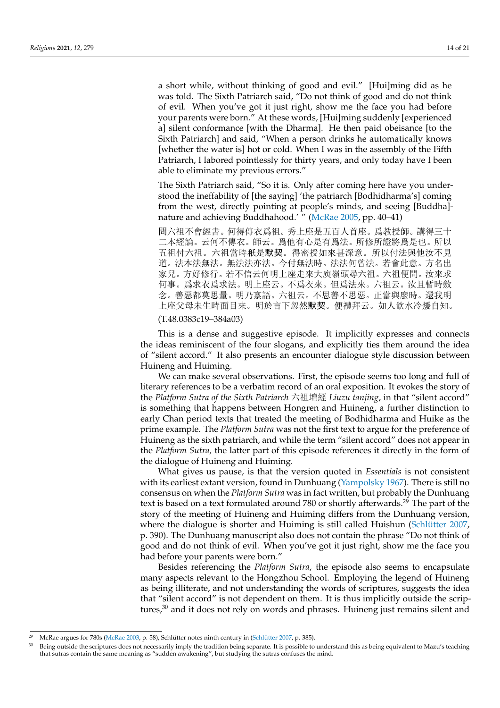a short while, without thinking of good and evil." [Hui]ming did as he was told. The Sixth Patriarch said, "Do not think of good and do not think of evil. When you've got it just right, show me the face you had before your parents were born." At these words, [Hui]ming suddenly [experienced a] silent conformance [with the Dharma]. He then paid obeisance [to the Sixth Patriarch] and said, "When a person drinks he automatically knows [whether the water is] hot or cold. When I was in the assembly of the Fifth Patriarch, I labored pointlessly for thirty years, and only today have I been able to eliminate my previous errors."

The Sixth Patriarch said, "So it is. Only after coming here have you understood the ineffability of [the saying] 'the patriarch [Bodhidharma's] coming from the west, directly pointing at people's minds, and seeing [Buddha] nature and achieving Buddhahood.' " [\(McRae](#page-20-18) [2005,](#page-20-18) pp. 40–41)

問六祖不會經書。何得傳衣爲祖。秀上座是五百人首座。爲教授師。講得三十 二本經論。云何不傳衣。師云。爲他有心是有爲法。所修所證將爲是也。所以 五祖付六祖。六祖當時秖是默契。得密授如來甚深意。所以付法與他汝不見 道。法本法無法。無法法亦法。今付無法時。法法何曾法。若會此意。方名出 家兒。方好修行。若不信云何明上座走來大庾嶺頭尋六祖。六祖便問。汝來求 何事。爲求衣爲求法。明上座云。不爲衣來。但爲法來。六祖云。汝且暫時斂 念。善惡都莫思量。明乃禀語。六祖云。不思善不思惡。正當與麼時。還我明 上座父母未生時面目來。明於言下忽然默契。便禮拜云。如人飮水冷煖自知。

## (T.48.0383c19–384a03)

This is a dense and suggestive episode. It implicitly expresses and connects the ideas reminiscent of the four slogans, and explicitly ties them around the idea of "silent accord." It also presents an encounter dialogue style discussion between Huineng and Huiming.

We can make several observations. First, the episode seems too long and full of literary references to be a verbatim record of an oral exposition. It evokes the story of the *Platform Sutra of the Sixth Patriarch* 六祖壇經 *Liuzu tanjing*, in that "silent accord" is something that happens between Hongren and Huineng, a further distinction to early Chan period texts that treated the meeting of Bodhidharma and Huike as the prime example. The *Platform Sutra* was not the first text to argue for the preference of Huineng as the sixth patriarch, and while the term "silent accord" does not appear in the *Platform Sutra,* the latter part of this episode references it directly in the form of the dialogue of Huineng and Huiming.

What gives us pause, is that the version quoted in *Essentials* is not consistent with its earliest extant version, found in Dunhuang [\(Yampolsky](#page-20-6) [1967\)](#page-20-6). There is still no consensus on when the *Platform Sutra* was in fact written, but probably the Dunhuang text is based on a text formulated around 780 or shortly afterwards.<sup>29</sup> The part of the story of the meeting of Huineng and Huiming differs from the Dunhuang version, where the dialogue is shorter and Huiming is still called Huishun [\(Schlütter](#page-20-9) [2007,](#page-20-9) p. 390). The Dunhuang manuscript also does not contain the phrase "Do not think of good and do not think of evil. When you've got it just right, show me the face you had before your parents were born."

Besides referencing the *Platform Sutra*, the episode also seems to encapsulate many aspects relevant to the Hongzhou School. Employing the legend of Huineng as being illiterate, and not understanding the words of scriptures, suggests the idea that "silent accord" is not dependent on them. It is thus implicitly outside the scriptures, $30$  and it does not rely on words and phrases. Huineng just remains silent and

<sup>29</sup> McRae argues for 780s [\(McRae](#page-20-7) [2003,](#page-20-7) p. 58), Schlütter notes ninth century in ([Schlütter](#page-20-9) [2007,](#page-20-9) p. 385).

Being outside the scriptures does not necessarily imply the tradition being separate. It is possible to understand this as being equivalent to Mazu's teaching that sutras contain the same meaning as "sudden awakening", but studying the sutras confuses the mind.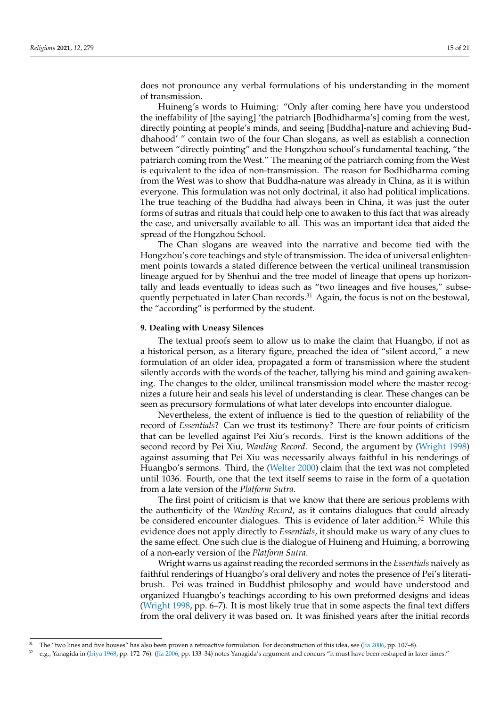does not pronounce any verbal formulations of his understanding in the moment of transmission.

Huineng's words to Huiming: "Only after coming here have you understood the ineffability of [the saying] 'the patriarch [Bodhidharma's] coming from the west, directly pointing at people's minds, and seeing [Buddha]-nature and achieving Buddhahood' " contain two of the four Chan slogans, as well as establish a connection between "directly pointing" and the Hongzhou school's fundamental teaching, "the patriarch coming from the West." The meaning of the patriarch coming from the West is equivalent to the idea of non-transmission. The reason for Bodhidharma coming from the West was to show that Buddha-nature was already in China, as it is within everyone. This formulation was not only doctrinal, it also had political implications. The true teaching of the Buddha had always been in China, it was just the outer forms of sutras and rituals that could help one to awaken to this fact that was already the case, and universally available to all. This was an important idea that aided the spread of the Hongzhou School.

The Chan slogans are weaved into the narrative and become tied with the Hongzhou's core teachings and style of transmission. The idea of universal enlightenment points towards a stated difference between the vertical unilineal transmission lineage argued for by Shenhui and the tree model of lineage that opens up horizontally and leads eventually to ideas such as "two lineages and five houses," subsequently perpetuated in later Chan records. $31$  Again, the focus is not on the bestowal, the "according" is performed by the student.

# **9. Dealing with Uneasy Silences**

The textual proofs seem to allow us to make the claim that Huangbo, if not as a historical person, as a literary figure, preached the idea of "silent accord," a new formulation of an older idea, propagated a form of transmission where the student silently accords with the words of the teacher, tallying his mind and gaining awakening. The changes to the older, unilineal transmission model where the master recognizes a future heir and seals his level of understanding is clear. These changes can be seen as precursory formulations of what later develops into encounter dialogue.

Nevertheless, the extent of influence is tied to the question of reliability of the record of *Essentials*? Can we trust its testimony? There are four points of criticism that can be levelled against Pei Xiu's records. First is the known additions of the second record by Pei Xiu, *Wanling Record*. Second, the argument by ([Wright](#page-20-21) [1998\)](#page-20-21) against assuming that Pei Xiu was necessarily always faithful in his renderings of Huangbo's sermons. Third, the [\(Welter](#page-20-5) [2000\)](#page-20-5) claim that the text was not completed until 1036. Fourth, one that the text itself seems to raise in the form of a quotation from a late version of the *Platform Sutra*.

The first point of criticism is that we know that there are serious problems with the authenticity of the *Wanling Record*, as it contains dialogues that could already be considered encounter dialogues. This is evidence of later addition.<sup>32</sup> While this evidence does not apply directly to *Essentials*, it should make us wary of any clues to the same effect. One such clue is the dialogue of Huineng and Huiming, a borrowing of a non-early version of the *Platform Sutra*.

Wright warns us against reading the recorded sermons in the *Essentials* naively as faithful renderings of Huangbo's oral delivery and notes the presence of Pei's literatibrush. Pei was trained in Buddhist philosophy and would have understood and organized Huangbo's teachings according to his own preformed designs and ideas [\(Wright](#page-20-21) [1998](#page-20-21), pp. 6–7). It is most likely true that in some aspects the final text differs from the oral delivery it was based on. It was finished years after the initial records

 $31$  The "two lines and five houses" has also been proven a retroactive formulation. For deconstruction of this idea, see [\(Jia](#page-19-2) [2006,](#page-19-2) pp. 107–8).

 $32$  e.g., Yanagida in [\(Iriya](#page-19-20) [1968,](#page-19-20) pp. 172–76). ([Jia](#page-19-2) [2006](#page-19-2), pp. 133–34) notes Yanagida's argument and concurs "it must have been reshaped in later times."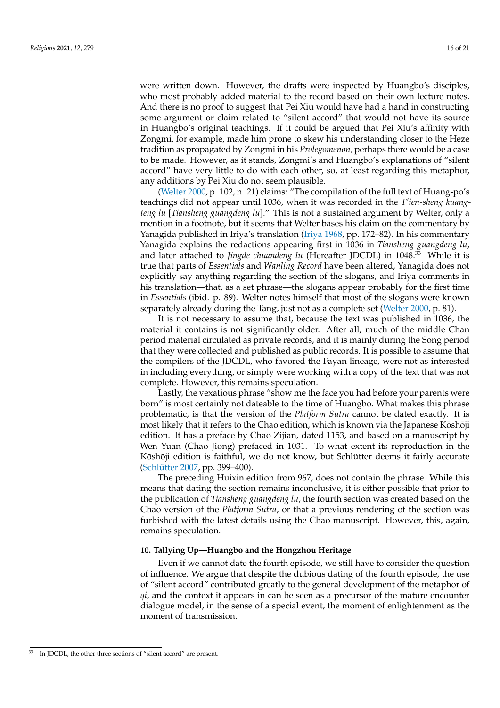were written down. However, the drafts were inspected by Huangbo's disciples, who most probably added material to the record based on their own lecture notes. And there is no proof to suggest that Pei Xiu would have had a hand in constructing some argument or claim related to "silent accord" that would not have its source in Huangbo's original teachings. If it could be argued that Pei Xiu's affinity with Zongmi, for example, made him prone to skew his understanding closer to the Heze tradition as propagated by Zongmi in his *Prolegomenon*, perhaps there would be a case to be made. However, as it stands, Zongmi's and Huangbo's explanations of "silent accord" have very little to do with each other, so, at least regarding this metaphor, any additions by Pei Xiu do not seem plausible.

([Welter](#page-20-5) [2000,](#page-20-5) p. 102, n. 21) claims: "The compilation of the full text of Huang-po's teachings did not appear until 1036, when it was recorded in the *T'ien-sheng kuangteng lu* [*Tiansheng guangdeng lu*]." This is not a sustained argument by Welter, only a mention in a footnote, but it seems that Welter bases his claim on the commentary by Yanagida published in Iriya's translation [\(Iriya](#page-19-20) [1968,](#page-19-20) pp. 172–82). In his commentary Yanagida explains the redactions appearing first in 1036 in *Tiansheng guangdeng lu*, and later attached to *Jingde chuandeng lu* (Hereafter JDCDL) in 1048.<sup>33</sup> While it is true that parts of *Essentials* and *Wanling Record* have been altered, Yanagida does not explicitly say anything regarding the section of the slogans, and Iriya comments in his translation—that, as a set phrase—the slogans appear probably for the first time in *Essentials* (ibid. p. 89). Welter notes himself that most of the slogans were known separately already during the Tang, just not as a complete set [\(Welter](#page-20-5) [2000](#page-20-5), p. 81).

It is not necessary to assume that, because the text was published in 1036, the material it contains is not significantly older. After all, much of the middle Chan period material circulated as private records, and it is mainly during the Song period that they were collected and published as public records. It is possible to assume that the compilers of the JDCDL, who favored the Fayan lineage, were not as interested in including everything, or simply were working with a copy of the text that was not complete. However, this remains speculation.

Lastly, the vexatious phrase "show me the face you had before your parents were born" is most certainly not dateable to the time of Huangbo. What makes this phrase problematic, is that the version of the *Platform Sutra* cannot be dated exactly. It is most likely that it refers to the Chao edition, which is known via the Japanese Kōshōji edition. It has a preface by Chao Zijian, dated 1153, and based on a manuscript by Wen Yuan (Chao Jiong) prefaced in 1031. To what extent its reproduction in the Kōshōji edition is faithful, we do not know, but Schlütter deems it fairly accurate [\(Schlütter](#page-20-9) [2007,](#page-20-9) pp. 399–400).

The preceding Huixin edition from 967, does not contain the phrase. While this means that dating the section remains inconclusive, it is either possible that prior to the publication of *Tiansheng guangdeng lu*, the fourth section was created based on the Chao version of the *Platform Sutra*, or that a previous rendering of the section was furbished with the latest details using the Chao manuscript. However, this, again, remains speculation.

### **10. Tallying Up—Huangbo and the Hongzhou Heritage**

Even if we cannot date the fourth episode, we still have to consider the question of influence. We argue that despite the dubious dating of the fourth episode, the use of "silent accord" contributed greatly to the general development of the metaphor of *qi*, and the context it appears in can be seen as a precursor of the mature encounter dialogue model, in the sense of a special event, the moment of enlightenment as the moment of transmission.

<sup>33</sup> In JDCDL, the other three sections of "silent accord" are present.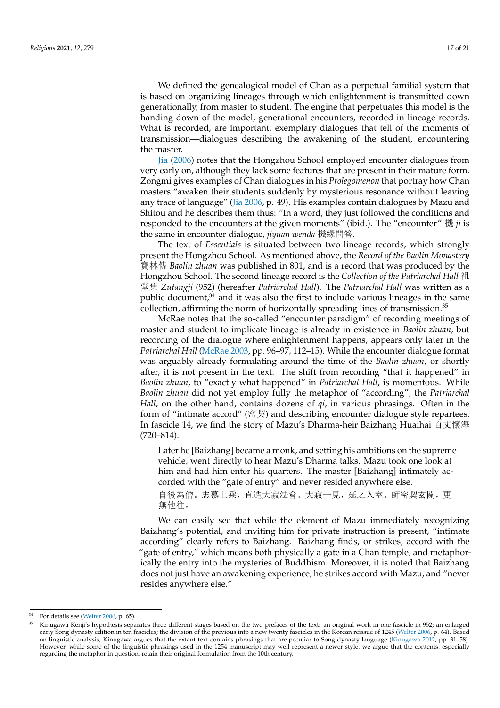We defined the genealogical model of Chan as a perpetual familial system that is based on organizing lineages through which enlightenment is transmitted down generationally, from master to student. The engine that perpetuates this model is the handing down of the model, generational encounters, recorded in lineage records. What is recorded, are important, exemplary dialogues that tell of the moments of transmission—dialogues describing the awakening of the student, encountering the master.

[Jia](#page-19-2) ([2006\)](#page-19-2) notes that the Hongzhou School employed encounter dialogues from very early on, although they lack some features that are present in their mature form. Zongmi gives examples of Chan dialogues in his *Prolegomenon* that portray how Chan masters "awaken their students suddenly by mysterious resonance without leaving any trace of language" [\(Jia](#page-19-2) [2006](#page-19-2), p. 49). His examples contain dialogues by Mazu and Shitou and he describes them thus: "In a word, they just followed the conditions and responded to the encounters at the given moments" (ibid.). The "encounter" 機 *ji* is the same in encounter dialogue, *jiyuan wenda* 機縁問答.

The text of *Essentials* is situated between two lineage records, which strongly present the Hongzhou School. As mentioned above, the *Record of the Baolin Monastery* 寶林傳 *Baolin zhuan* was published in 801, and is a record that was produced by the Hongzhou School. The second lineage record is the *Collection of the Patriarchal Hall* 祖 堂集 *Zutangji* (952) (hereafter *Patriarchal Hall*). The *Patriarchal Hall* was written as a public document, $34$  and it was also the first to include various lineages in the same collection, affirming the norm of horizontally spreading lines of transmission.<sup>35</sup>

McRae notes that the so-called "encounter paradigm" of recording meetings of master and student to implicate lineage is already in existence in *Baolin zhuan*, but recording of the dialogue where enlightenment happens, appears only later in the *Patriarchal Hall* ([McRae](#page-20-7) [2003,](#page-20-7) pp. 96–97, 112–15). While the encounter dialogue format was arguably already formulating around the time of the *Baolin zhuan*, or shortly after, it is not present in the text. The shift from recording "that it happened" in *Baolin zhuan*, to "exactly what happened" in *Patriarchal Hall*, is momentous. While *Baolin zhuan* did not yet employ fully the metaphor of "according", the *Patriarchal Hall*, on the other hand, contains dozens of *qi*, in various phrasings. Often in the form of "intimate accord" (密契) and describing encounter dialogue style repartees. In fascicle 14, we find the story of Mazu's Dharma-heir Baizhang Huaihai 百丈懷海 (720–814).

Later he [Baizhang] became a monk, and setting his ambitions on the supreme vehicle, went directly to hear Mazu's Dharma talks. Mazu took one look at him and had him enter his quarters. The master [Baizhang] intimately accorded with the "gate of entry" and never resided anywhere else.

自後為僧。志慕上乘,直造大寂法會。大寂一見,延之入室。師密契玄關,更 無他往。

We can easily see that while the element of Mazu immediately recognizing Baizhang's potential, and inviting him for private instruction is present, "intimate according" clearly refers to Baizhang. Baizhang finds, or strikes, accord with the "gate of entry," which means both physically a gate in a Chan temple, and metaphorically the entry into the mysteries of Buddhism. Moreover, it is noted that Baizhang does not just have an awakening experience, he strikes accord with Mazu, and "never resides anywhere else."

 $34$  For details see ([Welter](#page-20-4) [2006](#page-20-4), p. 65).

<sup>35</sup> Kinugawa Kenji's hypothesis separates three different stages based on the two prefaces of the text: an original work in one fascicle in 952; an enlarged early Song dynasty edition in ten fascicles; the division of the previous into a new twenty fascicles in the Korean reissue of 1245 [\(Welter](#page-20-4) [2006,](#page-20-4) p. 64). Based on linguistic analysis, Kinugawa argues that the extant text contains phrasings that are peculiar to Song dynasty language [\(Kinugawa](#page-19-21) [2012](#page-19-21), pp. 31–58). However, while some of the linguistic phrasings used in the 1254 manuscript may well represent a newer style, we argue that the contents, especially regarding the metaphor in question, retain their original formulation from the 10th century.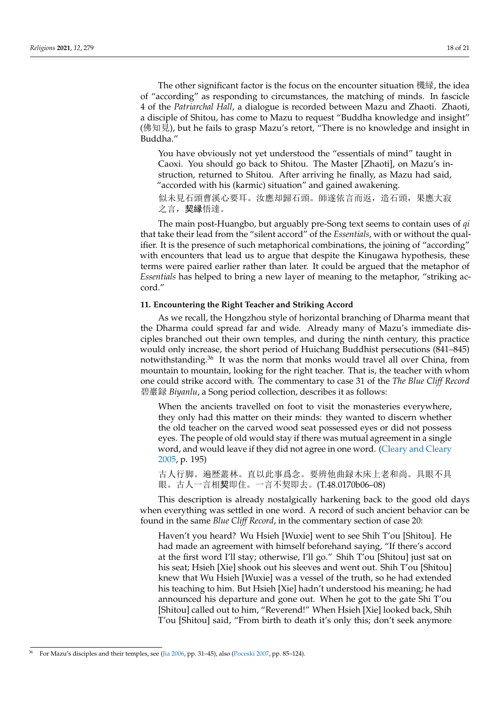The other significant factor is the focus on the encounter situation 機縁, the idea of "according" as responding to circumstances, the matching of minds. In fascicle 4 of the *Patriarchal Hall*, a dialogue is recorded between Mazu and Zhaoti. Zhaoti, a disciple of Shitou, has come to Mazu to request "Buddha knowledge and insight" (佛知見), but he fails to grasp Mazu's retort, "There is no knowledge and insight in Buddha."

You have obviously not yet understood the "essentials of mind" taught in Caoxi. You should go back to Shitou. The Master [Zhaoti], on Mazu's instruction, returned to Shitou. After arriving he finally, as Mazu had said, "accorded with his (karmic) situation" and gained awakening.

似未見石頭曹溪心要耳。汝應却歸石頭。師遂依言而返,造石頭,果應大寂 之言, 契縁悟達。

The main post-Huangbo, but arguably pre-Song text seems to contain uses of *qi* that take their lead from the "silent accord" of the *Essentials*, with or without the qualifier. It is the presence of such metaphorical combinations, the joining of "according" with encounters that lead us to argue that despite the Kinugawa hypothesis, these terms were paired earlier rather than later. It could be argued that the metaphor of *Essentials* has helped to bring a new layer of meaning to the metaphor, "striking accord."

# **11. Encountering the Right Teacher and Striking Accord**

As we recall, the Hongzhou style of horizontal branching of Dharma meant that the Dharma could spread far and wide. Already many of Mazu's immediate disciples branched out their own temples, and during the ninth century, this practice would only increase, the short period of Huichang Buddhist persecutions (841–845) notwithstanding.<sup>36</sup> It was the norm that monks would travel all over China, from mountain to mountain, looking for the right teacher. That is, the teacher with whom one could strike accord with. The commentary to case 31 of the *The Blue Cliff Record* 碧巖録 *Biyanlu*, a Song period collection, describes it as follows:

When the ancients travelled on foot to visit the monasteries everywhere, they only had this matter on their minds: they wanted to discern whether the old teacher on the carved wood seat possessed eyes or did not possess eyes. The people of old would stay if there was mutual agreement in a single word, and would leave if they did not agree in one word. ([Cleary and Cleary](#page-19-22) [2005,](#page-19-22) p. 195)

古人行脚。遍歴叢林。直以此事爲念。要辨他曲録木床上老和尚。具眼不具 眼。古人一言相契即住。一言不契即去。(T.48.0170b06–08)

This description is already nostalgically harkening back to the good old days when everything was settled in one word. A record of such ancient behavior can be found in the same *Blue Cliff Record*, in the commentary section of case 20:

Haven't you heard? Wu Hsieh [Wuxie] went to see Shih T'ou [Shitou]. He had made an agreement with himself beforehand saying, "If there's accord at the first word I'll stay; otherwise, I'll go." Shih T'ou [Shitou] just sat on his seat; Hsieh [Xie] shook out his sleeves and went out. Shih T'ou [Shitou] knew that Wu Hsieh [Wuxie] was a vessel of the truth, so he had extended his teaching to him. But Hsieh [Xie] hadn't understood his meaning; he had announced his departure and gone out. When he got to the gate Shi T'ou [Shitou] called out to him, "Reverend!" When Hsieh [Xie] looked back, Shih T'ou [Shitou] said, "From birth to death it's only this; don't seek anymore

<sup>36</sup> For Mazu's disciples and their temples, see [\(Jia](#page-19-2) [2006](#page-19-2), pp. 31–45), also [\(Poceski](#page-20-20) [2007](#page-20-20), pp. 85–124).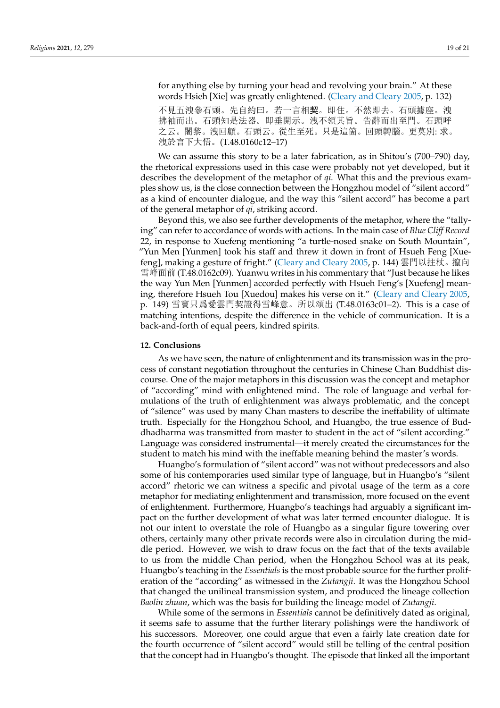for anything else by turning your head and revolving your brain." At these words Hsieh [Xie] was greatly enlightened. [\(Cleary and Cleary](#page-19-22) [2005,](#page-19-22) p. 132)

不見五洩參石頭。先自約曰。若一言相契。即住。不然即去。石頭據座。洩 拂袖而出。石頭知是法器。即垂開示。洩不領其旨。告辭而出至門。石頭呼 之云。闍黎。洩回顧。石頭云。從生至死。只是這箇。回頭轉腦。更莫別: 求。 洩於言下大悟。(T.48.0160c12–17)

We can assume this story to be a later fabrication, as in Shitou's (700–790) day, the rhetorical expressions used in this case were probably not yet developed, but it describes the development of the metaphor of *qi*. What this and the previous examples show us, is the close connection between the Hongzhou model of "silent accord" as a kind of encounter dialogue, and the way this "silent accord" has become a part of the general metaphor of *qi*, striking accord.

Beyond this, we also see further developments of the metaphor, where the "tallying" can refer to accordance of words with actions. In the main case of *Blue Cliff Record* 22, in response to Xuefeng mentioning "a turtle-nosed snake on South Mountain", "Yun Men [Yunmen] took his staff and threw it down in front of Hsueh Feng [Xuefeng], making a gesture of fright." ([Cleary and Cleary](#page-19-22) [2005](#page-19-22), p. 144) 雲門以拄杖。攛向 雪峰面前 (T.48.0162c09). Yuanwu writes in his commentary that "Just because he likes the way Yun Men [Yunmen] accorded perfectly with Hsueh Feng's [Xuefeng] meaning, therefore Hsueh Tou [Xuedou] makes his verse on it." [\(Cleary and Cleary](#page-19-22) [2005,](#page-19-22) p. 149) 雪竇只爲愛雲門契證得雪峰意。所以頌出 (T.48.0163c01–2). This is a case of matching intentions, despite the difference in the vehicle of communication. It is a back-and-forth of equal peers, kindred spirits.

# **12. Conclusions**

As we have seen, the nature of enlightenment and its transmission was in the process of constant negotiation throughout the centuries in Chinese Chan Buddhist discourse. One of the major metaphors in this discussion was the concept and metaphor of "according" mind with enlightened mind. The role of language and verbal formulations of the truth of enlightenment was always problematic, and the concept of "silence" was used by many Chan masters to describe the ineffability of ultimate truth. Especially for the Hongzhou School, and Huangbo, the true essence of Buddhadharma was transmitted from master to student in the act of "silent according." Language was considered instrumental—it merely created the circumstances for the student to match his mind with the ineffable meaning behind the master's words.

Huangbo's formulation of "silent accord" was not without predecessors and also some of his contemporaries used similar type of language, but in Huangbo's "silent accord" rhetoric we can witness a specific and pivotal usage of the term as a core metaphor for mediating enlightenment and transmission, more focused on the event of enlightenment. Furthermore, Huangbo's teachings had arguably a significant impact on the further development of what was later termed encounter dialogue. It is not our intent to overstate the role of Huangbo as a singular figure towering over others, certainly many other private records were also in circulation during the middle period. However, we wish to draw focus on the fact that of the texts available to us from the middle Chan period, when the Hongzhou School was at its peak, Huangbo's teaching in the *Essentials* is the most probable source for the further proliferation of the "according" as witnessed in the *Zutangji*. It was the Hongzhou School that changed the unilineal transmission system, and produced the lineage collection *Baolin zhuan*, which was the basis for building the lineage model of *Zutangji*.

While some of the sermons in *Essentials* cannot be definitively dated as original, it seems safe to assume that the further literary polishings were the handiwork of his successors. Moreover, one could argue that even a fairly late creation date for the fourth occurrence of "silent accord" would still be telling of the central position that the concept had in Huangbo's thought. The episode that linked all the important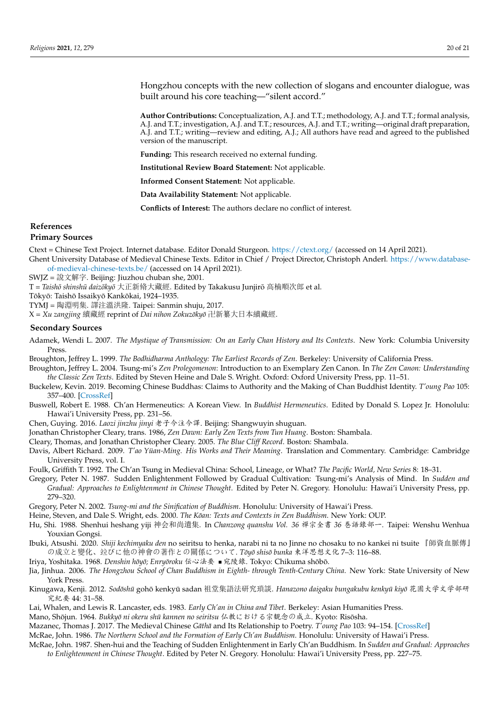Hongzhou concepts with the new collection of slogans and encounter dialogue, was built around his core teaching—"silent accord."

**Author Contributions:** Conceptualization, A.J. and T.T.; methodology, A.J. and T.T.; formal analysis, A.J. and T.T.; investigation, A.J. and T.T.; resources, A.J. and T.T.; writing—original draft preparation, A.J. and T.T.; writing—review and editing, A.J.; All authors have read and agreed to the published version of the manuscript.

**Funding:** This research received no external funding.

**Institutional Review Board Statement:** Not applicable.

**Informed Consent Statement:** Not applicable.

**Data Availability Statement:** Not applicable.

**Conflicts of Interest:** The authors declare no conflict of interest.

# **References**

#### **Primary Sources**

Ctext = Chinese Text Project. Internet database. Editor Donald Sturgeon. <https://ctext.org/> (accessed on 14 April 2021). Ghent University Database of Medieval Chinese Texts. Editor in Chief / Project Director, Christoph Anderl. [https://www.database-](https://www.database-of-medieval-chinese-texts.be/)

[of-medieval-chinese-texts.be/](https://www.database-of-medieval-chinese-texts.be/) (accessed on 14 April 2021).

SWJZ = 說文解字. Beijing: Jiuzhou chuban she, 2001.

T = *Taishō shinshū daizōkyō* 大正新脩大藏經. Edited by Takakusu Junjirō 高楠順次郎 et al.

Tōkyō: Taishō Issaikyō Kankōkai, 1924–1935.

TYMJ = 陶淵明集. 譯注溫洪隆. Taipei: Sanmin shuju, 2017.

X = *Xu zangjing* 續藏經 reprint of *Dai nihon Zokuzoky ¯ o¯* 卍新纂大日本續藏經.

## **Secondary Sources**

- <span id="page-19-18"></span>Adamek, Wendi L. 2007. *The Mystique of Transmission: On an Early Chan History and Its Contexts*. New York: Columbia University Press.
- <span id="page-19-4"></span>Broughton, Jeffrey L. 1999. *The Bodhidharma Anthology: The Earliest Records of Zen*. Berkeley: University of California Press.
- <span id="page-19-14"></span>Broughton, Jeffrey L. 2004. Tsung-mi's *Zen Prolegomenon*: Introduction to an Exemplary Zen Canon. In *The Zen Canon: Understanding the Classic Zen Texts*. Edited by Steven Heine and Dale S. Wright. Oxford: Oxford University Press, pp. 11–51.
- <span id="page-19-6"></span>Buckelew, Kevin. 2019. Becoming Chinese Buddhas: Claims to Authority and the Making of Chan Buddhist Identity. *T'oung Pao* 105: 357–400. [[CrossRef](http://doi.org/10.1163/15685322-10534P04)]
- <span id="page-19-13"></span>Buswell, Robert E. 1988. Ch'an Hermeneutics: A Korean View. In *Buddhist Hermeneutics*. Edited by Donald S. Lopez Jr. Honolulu: Hawai'i University Press, pp. 231–56.
- <span id="page-19-7"></span>Chen, Guying. 2016. *Laozi jinzhu jinyi* 老子今注今譯. Beijing: Shangwuyin shuguan.
- <span id="page-19-9"></span>Jonathan Christopher Cleary, trans. 1986, *Zen Dawn: Early Zen Texts from Tun Huang*. Boston: Shambala.
- <span id="page-19-22"></span>Cleary, Thomas, and Jonathan Christopher Cleary. 2005. *The Blue Cliff Record*. Boston: Shambala.
- <span id="page-19-8"></span>Davis, Albert Richard. 2009. *T'ao Yüan-Ming. His Works and Their Meaning*. Translation and Commentary. Cambridge: Cambridge University Press, vol. I.
- <span id="page-19-1"></span>Foulk, Griffith T. 1992. The Ch'an Tsung in Medieval China: School, Lineage, or What? *The Pacific World, New Series* 8: 18–31.
- <span id="page-19-11"></span>Gregory, Peter N. 1987. Sudden Enlightenment Followed by Gradual Cultivation: Tsung-mi's Analysis of Mind. In *Sudden and Gradual: Approaches to Enlightenment in Chinese Thought*. Edited by Peter N. Gregory. Honolulu: Hawai'i University Press, pp. 279–320.
- <span id="page-19-12"></span>Gregory, Peter N. 2002. *Tsung-mi and the Sinification of Buddhism*. Honolulu: University of Hawai'i Press.
- <span id="page-19-5"></span>Heine, Steven, and Dale S. Wright, eds. 2000. *The Kōan: Texts and Contexts in Zen Buddhism*. New York: OUP.
- <span id="page-19-16"></span>Hu, Shi. 1988. Shenhui heshang yiji 神会和尚遺集. In *Chanzong quanshu Vol. 36* 禪宗全書 *36* 巻語錄部一. Taipei: Wenshu Wenhua Youxian Gongsi.
- <span id="page-19-17"></span>Ibuki, Atsushi. 2020. *Shiji kechimyaku den* no seiritsu to henka, narabi ni ta no Jinne no chosaku to no kankei ni tsuite 『師資血脈傳』 の成立と變化、竝びに他の神會の著作との關係について. *Toy¯ o shis ¯ o bunka ¯* 東洋思想文化 7–3: 116–88.
- <span id="page-19-20"></span>Iriya, Yoshitaka. 1968. *Denshin hōyō; Enryōroku 伝心法要* ■ 宛陵錄. Tokyo: Chikuma shōbō.
- <span id="page-19-2"></span>Jia, Jinhua. 2006. *The Hongzhou School of Chan Buddhism in Eighth- through Tenth-Century China*. New York: State University of New York Press.
- <span id="page-19-21"></span>Kinugawa, Kenji. 2012. *Sodōshū* gohō kenkyū sadan 祖堂集語法研究瑣談. *Hanazono daigaku bungakubu kenkyū kiyō 花*園大学文学部研 究紀要 44: 31–58.
- <span id="page-19-3"></span>Lai, Whalen, and Lewis R. Lancaster, eds. 1983. *Early Ch'an in China and Tibet*. Berkeley: Asian Humanities Press.
- <span id="page-19-0"></span>Mano, Shōjun. 1964. *Bukkyō ni okeru shū kannen no seiritsu* 仏教における宗観念の成立. Kyoto: Risōsha.

<span id="page-19-19"></span>Mazanec, Thomas J. 2017. The Medieval Chinese *Gāthā* and Its Relationship to Poetry. *T'oung Pao* 103: 94–154. [[CrossRef](http://doi.org/10.1163/15685322-10313P03)]

<span id="page-19-10"></span>McRae, John. 1986. *The Northern School and the Formation of Early Ch'an Buddhism*. Honolulu: University of Hawai'i Press.

<span id="page-19-15"></span>McRae, John. 1987. Shen-hui and the Teaching of Sudden Enlightenment in Early Ch'an Buddhism. In *Sudden and Gradual: Approaches to Enlightenment in Chinese Thought*. Edited by Peter N. Gregory. Honolulu: Hawai'i University Press, pp. 227–75.